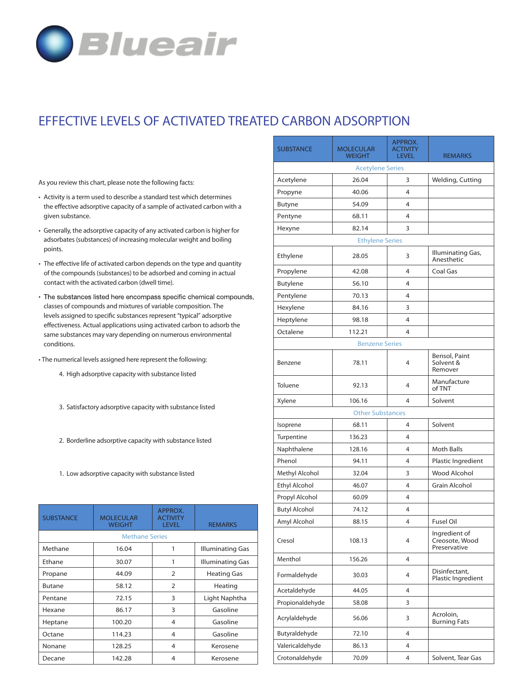

## **EFFECTIVE LEVELS OF ACTIVATED TREATED CARBON ADSORPTION**

As you review this chart, please note the following facts:

- Activity is a term used to describe a standard test which determines the effective adsorptive capacity of a sample of activated carbon with a given substance.
- Generally, the adsorptive capacity of any activated carbon is higher for adsorbates (substances) of increasing molecular weight and boiling points.
- The effective life of activated carbon depends on the type and quantity of the compounds (substances) to be adsorbed and coming in actual contact with the activated carbon (dwell time).
- The substances listed here encompass specific chemical compounds, classes of compounds and mixtures of variable composition. The levels assigned to specific substances represent "typical" adsorptive effectiveness. Actual applications using activated carbon to adsorb the same substances may vary depending on numerous environmental conditions.
- The numerical levels assigned here represent the following:
	- **4.** High adsorptive capacity with substance listed
	- **3.** Satisfactory adsorptive capacity with substance listed
	- **2.** Borderline adsorptive capacity with substance listed
	- **1.** Low adsorptive capacity with substance listed

| <b>SUBSTANCE</b>      | <b>MOLECULAR</b><br><b>WEIGHT</b> | APPROX.<br><b>ACTIVITY</b><br><b>LEVEL</b> | <b>REMARKS</b>     |  |  |
|-----------------------|-----------------------------------|--------------------------------------------|--------------------|--|--|
| <b>Methane Series</b> |                                   |                                            |                    |  |  |
| Methane               | 16.04                             |                                            | Illuminating Gas   |  |  |
| Ethane                | 30.07                             | 1                                          | Illuminating Gas   |  |  |
| Propane               | 44.09                             | $\overline{2}$                             | <b>Heating Gas</b> |  |  |
| <b>Butane</b>         | 58.12                             | $\overline{2}$                             | Heating            |  |  |
| Pentane               | 72.15                             | 3                                          | Light Naphtha      |  |  |
| Hexane                | 86.17                             | 3                                          | Gasoline           |  |  |
| Heptane               | 100.20                            | 4                                          | Gasoline           |  |  |
| Octane                | 114.23                            | 4                                          | Gasoline           |  |  |
| Nonane                | 128.25                            | 4                                          | Kerosene           |  |  |
| Decane                | 142.28                            | 4                                          | Kerosene           |  |  |

| <b>SUBSTANCE</b>        | <b>MOLECULAR</b><br><b>WEIGHT</b> | APPROX.<br><b>ACTIVITY</b><br><b>LEVEL</b> | <b>REMARKS</b>                                  |  |  |  |  |
|-------------------------|-----------------------------------|--------------------------------------------|-------------------------------------------------|--|--|--|--|
| <b>Acetylene Series</b> |                                   |                                            |                                                 |  |  |  |  |
| Acetylene               | 26.04                             | 3                                          | Welding, Cutting                                |  |  |  |  |
| Propyne                 | 40.06                             | 4                                          |                                                 |  |  |  |  |
| Butyne                  | 54.09                             | 4                                          |                                                 |  |  |  |  |
| Pentyne                 | 68.11                             | 4                                          |                                                 |  |  |  |  |
| Hexyne                  | 82.14                             | 3                                          |                                                 |  |  |  |  |
| <b>Ethylene Series</b>  |                                   |                                            |                                                 |  |  |  |  |
| Ethylene                | 28.05                             | 3                                          | Illuminating Gas,<br>Anesthetic                 |  |  |  |  |
| Propylene               | 42.08                             | 4                                          | Coal Gas                                        |  |  |  |  |
| <b>Butylene</b>         | 56.10                             | 4                                          |                                                 |  |  |  |  |
| Pentylene               | 70.13                             | 4                                          |                                                 |  |  |  |  |
| Hexylene                | 84.16                             | 3                                          |                                                 |  |  |  |  |
| Heptylene               | 98.18                             | 4                                          |                                                 |  |  |  |  |
| Octalene                | 112.21                            | 4                                          |                                                 |  |  |  |  |
|                         | <b>Benzene Series</b>             |                                            |                                                 |  |  |  |  |
| Benzene                 | 78.11                             | 4                                          | Bensol, Paint<br>Solvent &<br>Remover           |  |  |  |  |
| Toluene                 | 92.13                             | 4                                          | Manufacture<br>of TNT                           |  |  |  |  |
| Xylene                  | 106.16                            | 4                                          | Solvent                                         |  |  |  |  |
|                         | <b>Other Substances</b>           |                                            |                                                 |  |  |  |  |
| Isoprene                | 68.11                             | 4                                          | Solvent                                         |  |  |  |  |
| Turpentine              | 136.23                            | 4                                          |                                                 |  |  |  |  |
| Naphthalene             | 128.16                            | 4                                          | <b>Moth Balls</b>                               |  |  |  |  |
| Phenol                  | 94.11                             | 4                                          | Plastic Ingredient                              |  |  |  |  |
| Methyl Alcohol          | 32.04                             | 3                                          | <b>Wood Alcohol</b>                             |  |  |  |  |
| <b>Ethyl Alcohol</b>    | 46.07                             | 4                                          | <b>Grain Alcohol</b>                            |  |  |  |  |
| Propyl Alcohol          | 60.09                             | 4                                          |                                                 |  |  |  |  |
| <b>Butyl Alcohol</b>    | 74.12                             | 4                                          |                                                 |  |  |  |  |
| Amyl Alcohol            | 88.15                             | 4                                          | Fusel Oil                                       |  |  |  |  |
| Cresol                  | 108.13                            | 4                                          | Ingredient of<br>Creosote, Wood<br>Preservative |  |  |  |  |
| Menthol                 | 156.26                            | 4                                          |                                                 |  |  |  |  |
| Formaldehyde            | 30.03                             | 4                                          | Disinfectant,<br>Plastic Ingredient             |  |  |  |  |
| Acetaldehyde            | 44.05                             | 4                                          |                                                 |  |  |  |  |
| Propionaldehyde         | 58.08                             | 3                                          |                                                 |  |  |  |  |
| Acrylaldehyde           | 56.06                             | 3                                          | Acroloin,<br><b>Burning Fats</b>                |  |  |  |  |
| Butyraldehyde           | 72.10                             | $\overline{4}$                             |                                                 |  |  |  |  |
| Valericaldehyde         | 86.13                             | $\overline{4}$                             |                                                 |  |  |  |  |
| Crotonaldehyde          | 70.09                             | $\overline{4}$                             | Solvent, Tear Gas                               |  |  |  |  |